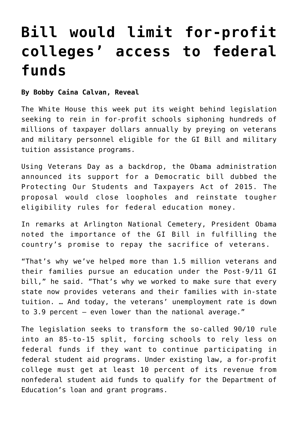## **[Bill would limit for-profit](https://www.laketahoenews.net/2015/11/bill-would-limit-for-profit-colleges-access-to-federal-funds/) [colleges' access to federal](https://www.laketahoenews.net/2015/11/bill-would-limit-for-profit-colleges-access-to-federal-funds/) [funds](https://www.laketahoenews.net/2015/11/bill-would-limit-for-profit-colleges-access-to-federal-funds/)**

**By Bobby Caina Calvan, Reveal**

The White House this week put its weight behind legislation seeking to rein in for-profit schools siphoning hundreds of millions of taxpayer dollars annually by preying on veterans and military personnel eligible for the GI Bill and military tuition assistance programs.

Using Veterans Day as a backdrop, the Obama administration announced its support for a Democratic bill dubbed the Protecting Our Students and Taxpayers Act of 2015. The proposal would close loopholes and reinstate tougher eligibility rules for federal education money.

In remarks at Arlington National Cemetery, President Obama noted the importance of the GI Bill in fulfilling the country's promise to repay the sacrifice of veterans.

"That's why we've helped more than 1.5 million veterans and their families pursue an education under the Post-9/11 GI bill," he said. "That's why we worked to make sure that every state now provides veterans and their families with in-state tuition. … And today, the veterans' unemployment rate is down to 3.9 percent – even lower than the national average."

The legislation seeks to transform the so-called 90/10 rule into an 85-to-15 split, forcing schools to rely less on federal funds if they want to continue participating in federal student aid programs. Under existing law, a for-profit college must get at least 10 percent of its revenue from nonfederal student aid funds to qualify for the Department of Education's loan and grant programs.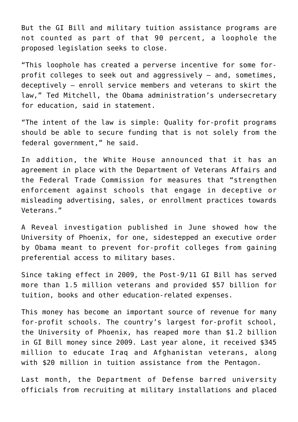But the GI Bill and military tuition assistance programs are not counted as part of that 90 percent, a loophole the proposed legislation seeks to close.

"This loophole has created a perverse incentive for some forprofit colleges to seek out and aggressively – and, sometimes, deceptively – enroll service members and veterans to skirt the law," Ted Mitchell, the Obama administration's undersecretary for education, said in statement.

"The intent of the law is simple: Quality for-profit programs should be able to secure funding that is not solely from the federal government," he said.

In addition, the White House announced that it has an agreement in place with the Department of Veterans Affairs and the Federal Trade Commission for measures that "strengthen enforcement against schools that engage in deceptive or misleading advertising, sales, or enrollment practices towards Veterans."

A Reveal investigation published in June showed how the University of Phoenix, for one, sidestepped an executive order by Obama meant to prevent for-profit colleges from gaining preferential access to military bases.

Since taking effect in 2009, the Post-9/11 GI Bill has served more than 1.5 million veterans and provided \$57 billion for tuition, books and other education-related expenses.

This money has become an important source of revenue for many for-profit schools. The country's largest for-profit school, the University of Phoenix, has reaped more than \$1.2 billion in GI Bill money since 2009. Last year alone, it received \$345 million to educate Iraq and Afghanistan veterans, along with \$20 million in tuition assistance from the Pentagon.

Last month, the Department of Defense barred university officials from recruiting at military installations and placed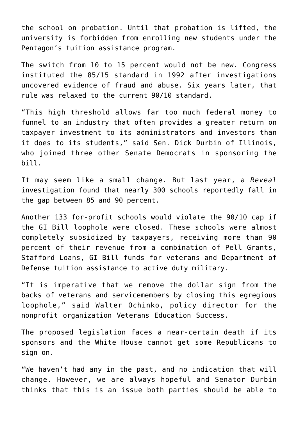the school on probation. Until that probation is lifted, the university is forbidden from enrolling new students under the Pentagon's tuition assistance program.

The switch from 10 to 15 percent would not be new. Congress instituted the 85/15 standard in 1992 after investigations uncovered evidence of fraud and abuse. Six years later, that rule was relaxed to the current 90/10 standard.

"This high threshold allows far too much federal money to funnel to an industry that often provides a greater return on taxpayer investment to its administrators and investors than it does to its students," said Sen. Dick Durbin of Illinois, who joined three other Senate Democrats in sponsoring the bill.

It may seem like a small change. But last year, a *Reveal* investigation found that nearly 300 schools reportedly fall in the gap between 85 and 90 percent.

Another 133 for-profit schools would violate the 90/10 cap if the GI Bill loophole were closed. These schools were almost completely subsidized by taxpayers, receiving more than 90 percent of their revenue from a combination of Pell Grants, Stafford Loans, GI Bill funds for veterans and Department of Defense tuition assistance to active duty military.

"It is imperative that we remove the dollar sign from the backs of veterans and servicemembers by closing this egregious loophole," said Walter Ochinko, policy director for the nonprofit organization Veterans Education Success.

The proposed legislation faces a near-certain death if its sponsors and the White House cannot get some Republicans to sign on.

"We haven't had any in the past, and no indication that will change. However, we are always hopeful and Senator Durbin thinks that this is an issue both parties should be able to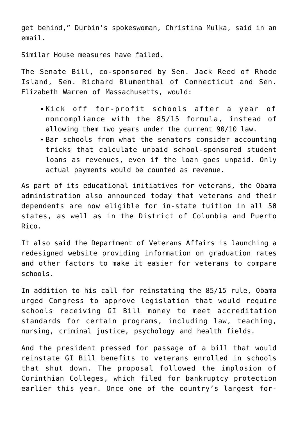get behind," Durbin's spokeswoman, Christina Mulka, said in an email.

Similar House measures have failed.

The Senate Bill, co-sponsored by Sen. Jack Reed of Rhode Island, Sen. Richard Blumenthal of Connecticut and Sen. Elizabeth Warren of Massachusetts, would:

- Kick off for-profit schools after a year of noncompliance with the 85/15 formula, instead of allowing them two years under the current 90/10 law.
- Bar schools from what the senators consider accounting tricks that calculate unpaid school-sponsored student loans as revenues, even if the loan goes unpaid. Only actual payments would be counted as revenue.

As part of its educational initiatives for veterans, the Obama administration also announced today that veterans and their dependents are now eligible for in-state tuition in all 50 states, as well as in the District of Columbia and Puerto Rico.

It also said the Department of Veterans Affairs is launching a redesigned website providing information on graduation rates and other factors to make it easier for veterans to compare schools.

In addition to his call for reinstating the 85/15 rule, Obama urged Congress to approve legislation that would require schools receiving GI Bill money to meet accreditation standards for certain programs, including law, teaching, nursing, criminal justice, psychology and health fields.

And the president pressed for passage of a bill that would reinstate GI Bill benefits to veterans enrolled in schools that shut down. The proposal followed the implosion of Corinthian Colleges, which filed for bankruptcy protection earlier this year. Once one of the country's largest for